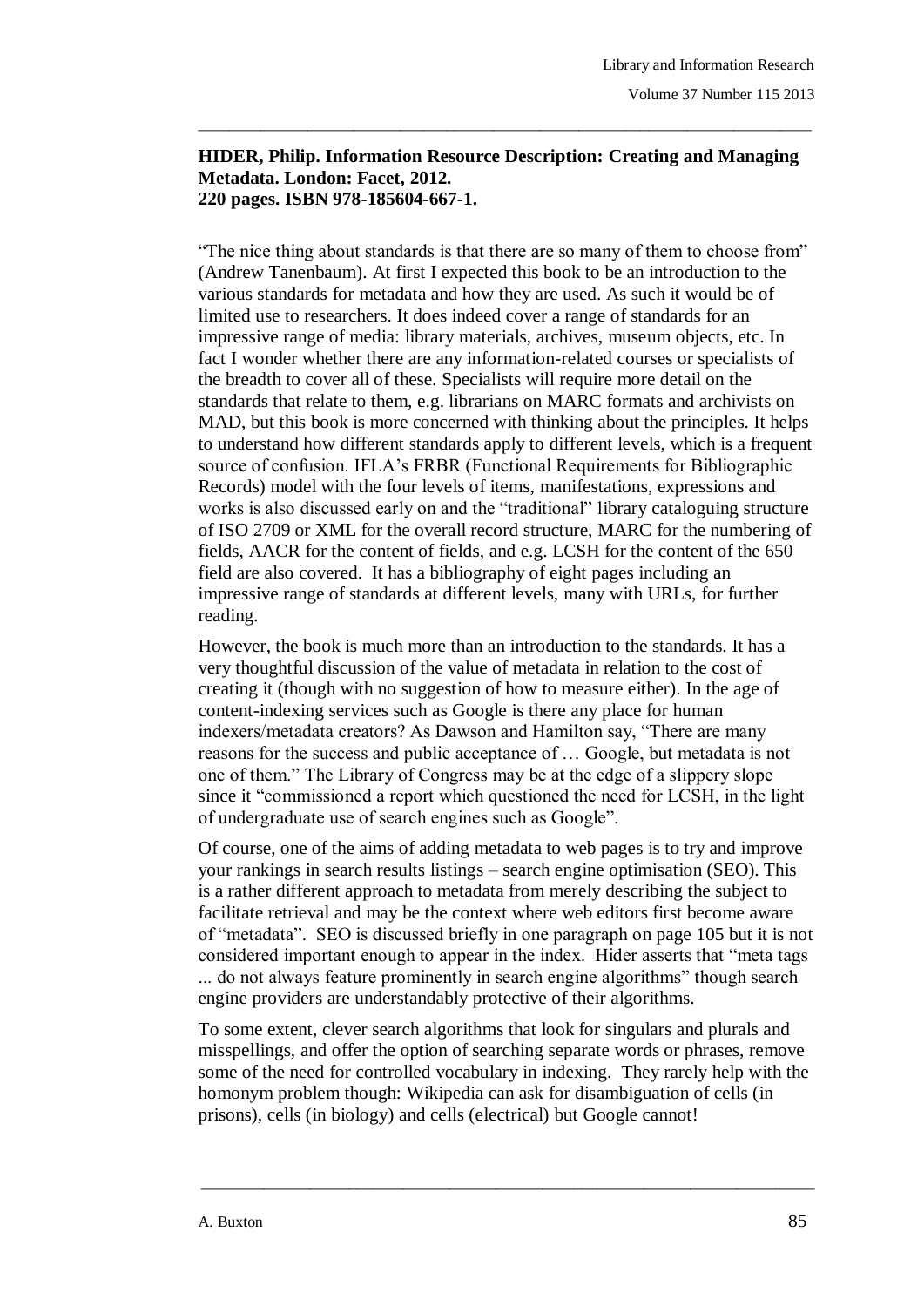## **HIDER, Philip. Information Resource Description: Creating and Managing Metadata. London: Facet, 2012. 220 pages. ISBN 978-185604-667-1.**

\_\_\_\_\_\_\_\_\_\_\_\_\_\_\_\_\_\_\_\_\_\_\_\_\_\_\_\_\_\_\_\_\_\_\_\_\_\_\_\_\_\_\_\_\_\_\_\_\_\_\_\_\_\_\_\_\_\_\_\_\_\_\_\_\_\_\_\_\_\_\_\_\_\_\_\_\_\_\_

"The nice thing about standards is that there are so many of them to choose from" (Andrew Tanenbaum). At first I expected this book to be an introduction to the various standards for metadata and how they are used. As such it would be of limited use to researchers. It does indeed cover a range of standards for an impressive range of media: library materials, archives, museum objects, etc. In fact I wonder whether there are any information-related courses or specialists of the breadth to cover all of these. Specialists will require more detail on the standards that relate to them, e.g. librarians on MARC formats and archivists on MAD, but this book is more concerned with thinking about the principles. It helps to understand how different standards apply to different levels, which is a frequent source of confusion. IFLA's FRBR (Functional Requirements for Bibliographic Records) model with the four levels of items, manifestations, expressions and works is also discussed early on and the "traditional" library cataloguing structure of ISO 2709 or XML for the overall record structure, MARC for the numbering of fields, AACR for the content of fields, and e.g. LCSH for the content of the 650 field are also covered. It has a bibliography of eight pages including an impressive range of standards at different levels, many with URLs, for further reading.

However, the book is much more than an introduction to the standards. It has a very thoughtful discussion of the value of metadata in relation to the cost of creating it (though with no suggestion of how to measure either). In the age of content-indexing services such as Google is there any place for human indexers/metadata creators? As Dawson and Hamilton say, "There are many reasons for the success and public acceptance of … Google, but metadata is not one of them." The Library of Congress may be at the edge of a slippery slope since it "commissioned a report which questioned the need for LCSH, in the light of undergraduate use of search engines such as Google".

Of course, one of the aims of adding metadata to web pages is to try and improve your rankings in search results listings – search engine optimisation (SEO). This is a rather different approach to metadata from merely describing the subject to facilitate retrieval and may be the context where web editors first become aware of "metadata". SEO is discussed briefly in one paragraph on page 105 but it is not considered important enough to appear in the index. Hider asserts that "meta tags ... do not always feature prominently in search engine algorithms" though search engine providers are understandably protective of their algorithms.

To some extent, clever search algorithms that look for singulars and plurals and misspellings, and offer the option of searching separate words or phrases, remove some of the need for controlled vocabulary in indexing. They rarely help with the homonym problem though: Wikipedia can ask for disambiguation of cells (in prisons), cells (in biology) and cells (electrical) but Google cannot!

\_\_\_\_\_\_\_\_\_\_\_\_\_\_\_\_\_\_\_\_\_\_\_\_\_\_\_\_\_\_\_\_\_\_\_\_\_\_\_\_\_\_\_\_\_\_\_\_\_\_\_\_\_\_\_\_\_\_\_\_\_\_\_\_\_\_\_\_\_\_\_\_\_\_\_\_\_\_\_